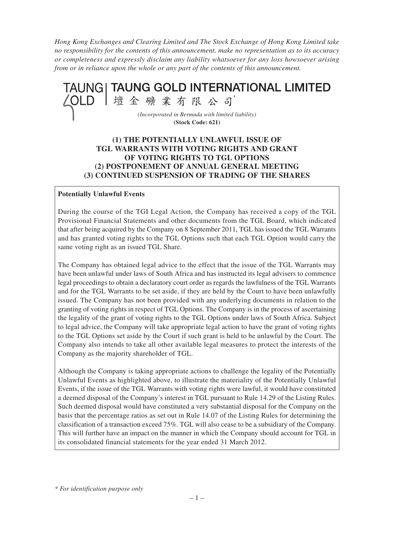*Hong Kong Exchanges and Clearing Limited and The Stock Exchange of Hong Kong Limited take no responsibility for the contents of this announcement, make no representation as to its accuracy or completeness and expressly disclaim any liability whatsoever for any loss howsoever arising from or in reliance upon the whole or any part of the contents of this announcement.*



### **(1) THE POTENTIALLY UNLAWFUL ISSUE OF TGL WARRANTS WITH VOTING RIGHTS AND GRANT OF VOTING RIGHTS TO TGL OPTIONS (2) POSTPONEMENT OF ANNUAL GENERAL MEETING (3) CONTINUED SUSPENSION OF TRADING OF THE SHARES**

#### **Potentially Unlawful Events**

During the course of the TGI Legal Action, the Company has received a copy of the TGL Provisional Financial Statements and other documents from the TGL Board, which indicated that after being acquired by the Company on 8 September 2011, TGL has issued the TGL Warrants and has granted voting rights to the TGL Options such that each TGL Option would carry the same voting right as an issued TGL Share.

The Company has obtained legal advice to the effect that the issue of the TGL Warrants may have been unlawful under laws of South Africa and has instructed its legal advisers to commence legal proceedings to obtain a declaratory court order as regards the lawfulness of the TGL Warrants and for the TGL Warrants to be set aside, if they are held by the Court to have been unlawfully issued. The Company has not been provided with any underlying documents in relation to the granting of voting rights in respect of TGL Options. The Company is in the process of ascertaining the legality of the grant of voting rights to the TGL Options under laws of South Africa. Subject to legal advice, the Company will take appropriate legal action to have the grant of voting rights to the TGL Options set aside by the Court if such grant is held to be unlawful by the Court. The Company also intends to take all other available legal measures to protect the interests of the Company as the majority shareholder of TGL.

Although the Company is taking appropriate actions to challenge the legality of the Potentially Unlawful Events as highlighted above, to illustrate the materiality of the Potentially Unlawful Events, if the issue of the TGL Warrants with voting rights were lawful, it would have constituted a deemed disposal of the Company's interest in TGL pursuant to Rule 14.29 of the Listing Rules. Such deemed disposal would have constituted a very substantial disposal for the Company on the basis that the percentage ratios as set out in Rule 14.07 of the Listing Rules for determining the classification of a transaction exceed 75%. TGL will also cease to be a subsidiary of the Company. This will further have an impact on the manner in which the Company should account for TGL in its consolidated financial statements for the year ended 31 March 2012.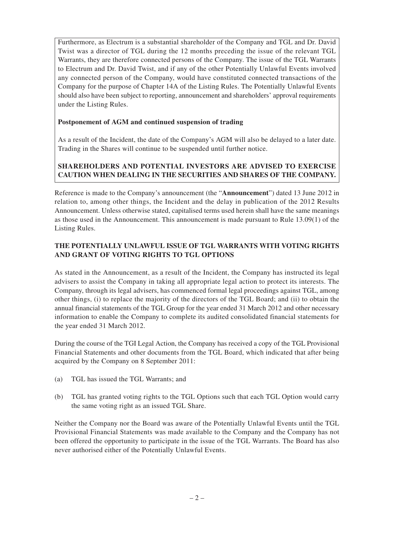Furthermore, as Electrum is a substantial shareholder of the Company and TGL and Dr. David Twist was a director of TGL during the 12 months preceding the issue of the relevant TGL Warrants, they are therefore connected persons of the Company. The issue of the TGL Warrants to Electrum and Dr. David Twist, and if any of the other Potentially Unlawful Events involved any connected person of the Company, would have constituted connected transactions of the Company for the purpose of Chapter 14A of the Listing Rules. The Potentially Unlawful Events should also have been subject to reporting, announcement and shareholders' approval requirements under the Listing Rules.

### **Postponement of AGM and continued suspension of trading**

As a result of the Incident, the date of the Company's AGM will also be delayed to a later date. Trading in the Shares will continue to be suspended until further notice.

# **SHAREHOLDERS AND POTENTIAL INVESTORS ARE ADVISED TO EXERCISE CAUTION WHEN DEALING IN THE SECURITIES AND SHARES OF THE COMPANY.**

Reference is made to the Company's announcement (the "**Announcement**") dated 13 June 2012 in relation to, among other things, the Incident and the delay in publication of the 2012 Results Announcement. Unless otherwise stated, capitalised terms used herein shall have the same meanings as those used in the Announcement. This announcement is made pursuant to Rule 13.09(1) of the Listing Rules.

## **THE POTENTIALLY UNLAWFUL ISSUE OF TGL WARRANTS WITH VOTING RIGHTS AND GRANT OF VOTING RIGHTS TO TGL OPTIONS**

As stated in the Announcement, as a result of the Incident, the Company has instructed its legal advisers to assist the Company in taking all appropriate legal action to protect its interests. The Company, through its legal advisers, has commenced formal legal proceedings against TGL, among other things, (i) to replace the majority of the directors of the TGL Board; and (ii) to obtain the annual financial statements of the TGL Group for the year ended 31 March 2012 and other necessary information to enable the Company to complete its audited consolidated financial statements for the year ended 31 March 2012.

During the course of the TGI Legal Action, the Company has received a copy of the TGL Provisional Financial Statements and other documents from the TGL Board, which indicated that after being acquired by the Company on 8 September 2011:

- (a) TGL has issued the TGL Warrants; and
- (b) TGL has granted voting rights to the TGL Options such that each TGL Option would carry the same voting right as an issued TGL Share.

Neither the Company nor the Board was aware of the Potentially Unlawful Events until the TGL Provisional Financial Statements was made available to the Company and the Company has not been offered the opportunity to participate in the issue of the TGL Warrants. The Board has also never authorised either of the Potentially Unlawful Events.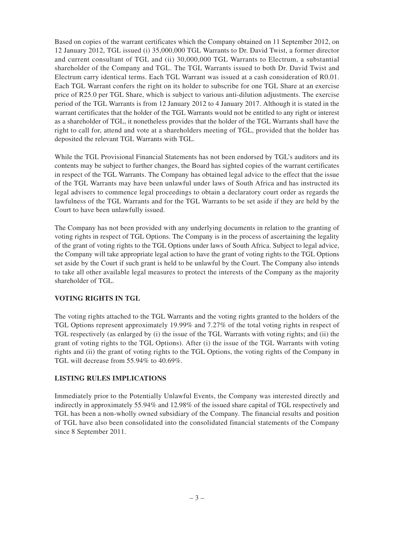Based on copies of the warrant certificates which the Company obtained on 11 September 2012, on 12 January 2012, TGL issued (i) 35,000,000 TGL Warrants to Dr. David Twist, a former director and current consultant of TGL and (ii) 30,000,000 TGL Warrants to Electrum, a substantial shareholder of the Company and TGL. The TGL Warrants issued to both Dr. David Twist and Electrum carry identical terms. Each TGL Warrant was issued at a cash consideration of R0.01. Each TGL Warrant confers the right on its holder to subscribe for one TGL Share at an exercise price of R25.0 per TGL Share, which is subject to various anti-dilution adjustments. The exercise period of the TGL Warrants is from 12 January 2012 to 4 January 2017. Although it is stated in the warrant certificates that the holder of the TGL Warrants would not be entitled to any right or interest as a shareholder of TGL, it nonetheless provides that the holder of the TGL Warrants shall have the right to call for, attend and vote at a shareholders meeting of TGL, provided that the holder has deposited the relevant TGL Warrants with TGL.

While the TGL Provisional Financial Statements has not been endorsed by TGL's auditors and its contents may be subject to further changes, the Board has sighted copies of the warrant certificates in respect of the TGL Warrants. The Company has obtained legal advice to the effect that the issue of the TGL Warrants may have been unlawful under laws of South Africa and has instructed its legal advisers to commence legal proceedings to obtain a declaratory court order as regards the lawfulness of the TGL Warrants and for the TGL Warrants to be set aside if they are held by the Court to have been unlawfully issued.

The Company has not been provided with any underlying documents in relation to the granting of voting rights in respect of TGL Options. The Company is in the process of ascertaining the legality of the grant of voting rights to the TGL Options under laws of South Africa. Subject to legal advice, the Company will take appropriate legal action to have the grant of voting rights to the TGL Options set aside by the Court if such grant is held to be unlawful by the Court. The Company also intends to take all other available legal measures to protect the interests of the Company as the majority shareholder of TGL.

### **VOTING RIGHTS IN TGL**

The voting rights attached to the TGL Warrants and the voting rights granted to the holders of the TGL Options represent approximately 19.99% and 7.27% of the total voting rights in respect of TGL respectively (as enlarged by (i) the issue of the TGL Warrants with voting rights; and (ii) the grant of voting rights to the TGL Options). After (i) the issue of the TGL Warrants with voting rights and (ii) the grant of voting rights to the TGL Options, the voting rights of the Company in TGL will decrease from 55.94% to 40.69%.

### **LISTING RULES IMPLICATIONS**

Immediately prior to the Potentially Unlawful Events, the Company was interested directly and indirectly in approximately 55.94% and 12.98% of the issued share capital of TGL respectively and TGL has been a non-wholly owned subsidiary of the Company. The financial results and position of TGL have also been consolidated into the consolidated financial statements of the Company since 8 September 2011.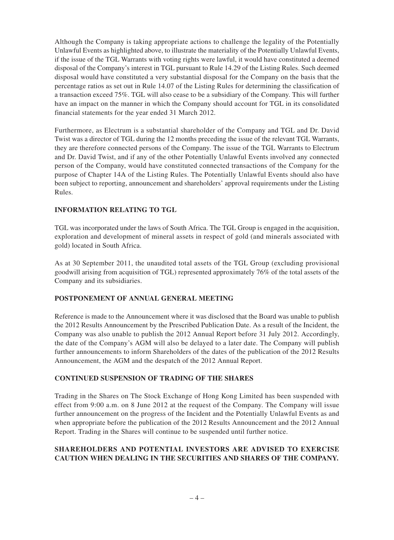Although the Company is taking appropriate actions to challenge the legality of the Potentially Unlawful Events as highlighted above, to illustrate the materiality of the Potentially Unlawful Events, if the issue of the TGL Warrants with voting rights were lawful, it would have constituted a deemed disposal of the Company's interest in TGL pursuant to Rule 14.29 of the Listing Rules. Such deemed disposal would have constituted a very substantial disposal for the Company on the basis that the percentage ratios as set out in Rule 14.07 of the Listing Rules for determining the classification of a transaction exceed 75%. TGL will also cease to be a subsidiary of the Company. This will further have an impact on the manner in which the Company should account for TGL in its consolidated financial statements for the year ended 31 March 2012.

Furthermore, as Electrum is a substantial shareholder of the Company and TGL and Dr. David Twist was a director of TGL during the 12 months preceding the issue of the relevant TGL Warrants, they are therefore connected persons of the Company. The issue of the TGL Warrants to Electrum and Dr. David Twist, and if any of the other Potentially Unlawful Events involved any connected person of the Company, would have constituted connected transactions of the Company for the purpose of Chapter 14A of the Listing Rules. The Potentially Unlawful Events should also have been subject to reporting, announcement and shareholders' approval requirements under the Listing Rules.

## **INFORMATION RELATING TO TGL**

TGL was incorporated under the laws of South Africa. The TGL Group is engaged in the acquisition, exploration and development of mineral assets in respect of gold (and minerals associated with gold) located in South Africa.

As at 30 September 2011, the unaudited total assets of the TGL Group (excluding provisional goodwill arising from acquisition of TGL) represented approximately 76% of the total assets of the Company and its subsidiaries.

### **POSTPONEMENT OF ANNUAL GENERAL MEETING**

Reference is made to the Announcement where it was disclosed that the Board was unable to publish the 2012 Results Announcement by the Prescribed Publication Date. As a result of the Incident, the Company was also unable to publish the 2012 Annual Report before 31 July 2012. Accordingly, the date of the Company's AGM will also be delayed to a later date. The Company will publish further announcements to inform Shareholders of the dates of the publication of the 2012 Results Announcement, the AGM and the despatch of the 2012 Annual Report.

### **CONTINUED SUSPENSION OF TRADING OF THE SHARES**

Trading in the Shares on The Stock Exchange of Hong Kong Limited has been suspended with effect from 9:00 a.m. on 8 June 2012 at the request of the Company. The Company will issue further announcement on the progress of the Incident and the Potentially Unlawful Events as and when appropriate before the publication of the 2012 Results Announcement and the 2012 Annual Report. Trading in the Shares will continue to be suspended until further notice.

## **SHAREHOLDERS AND POTENTIAL INVESTORS ARE ADVISED TO EXERCISE CAUTION WHEN DEALING IN THE SECURITIES AND SHARES OF THE COMPANY.**